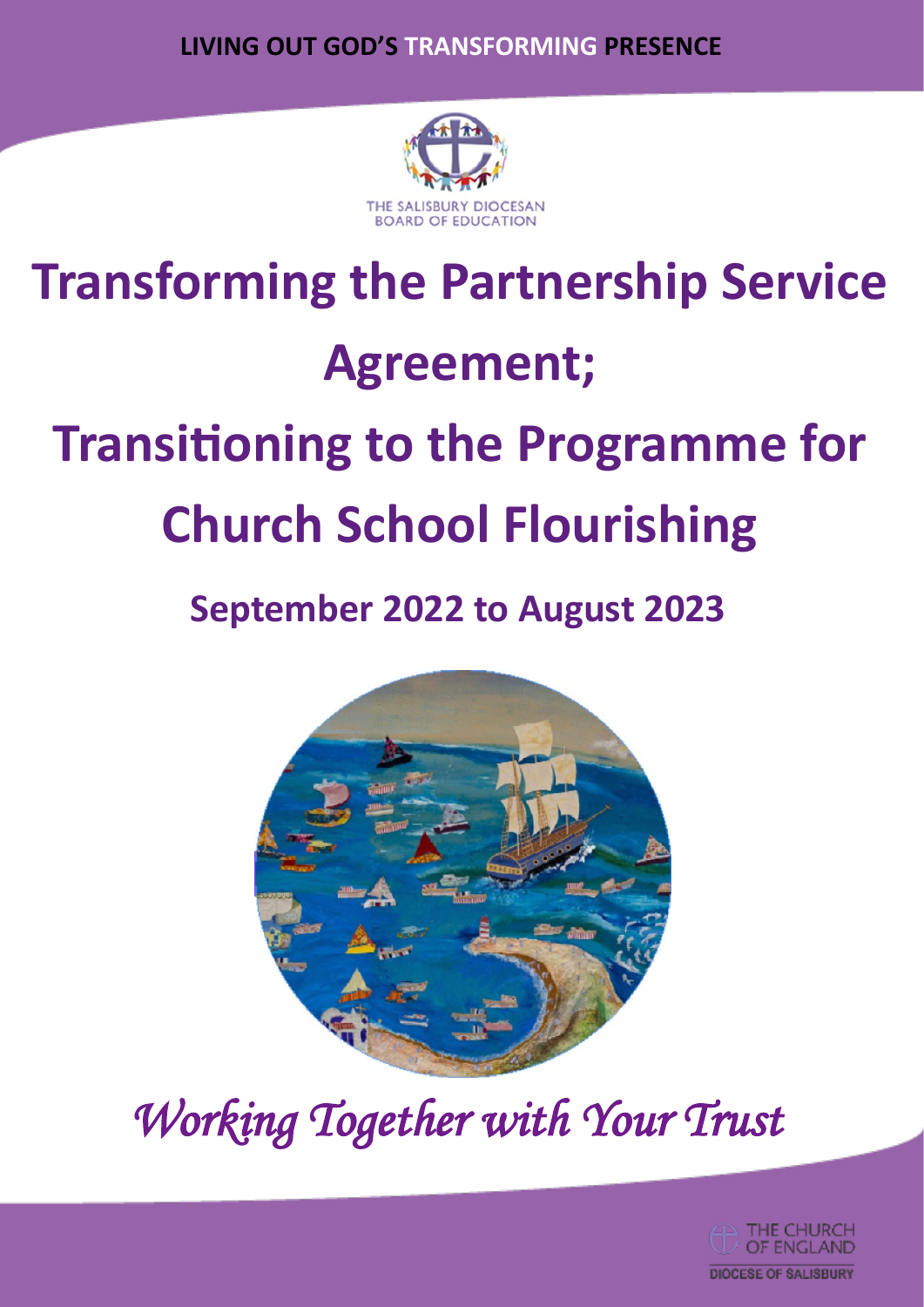**LIVING OUT GOD'S TRANSFORMING PRESENCE**



# **Transforming the Partnership Service Agreement; Transitioning to the Programme for Church School Flourishing**

# **September 2022 to August 2023**



*Working Together with Your Trust* 

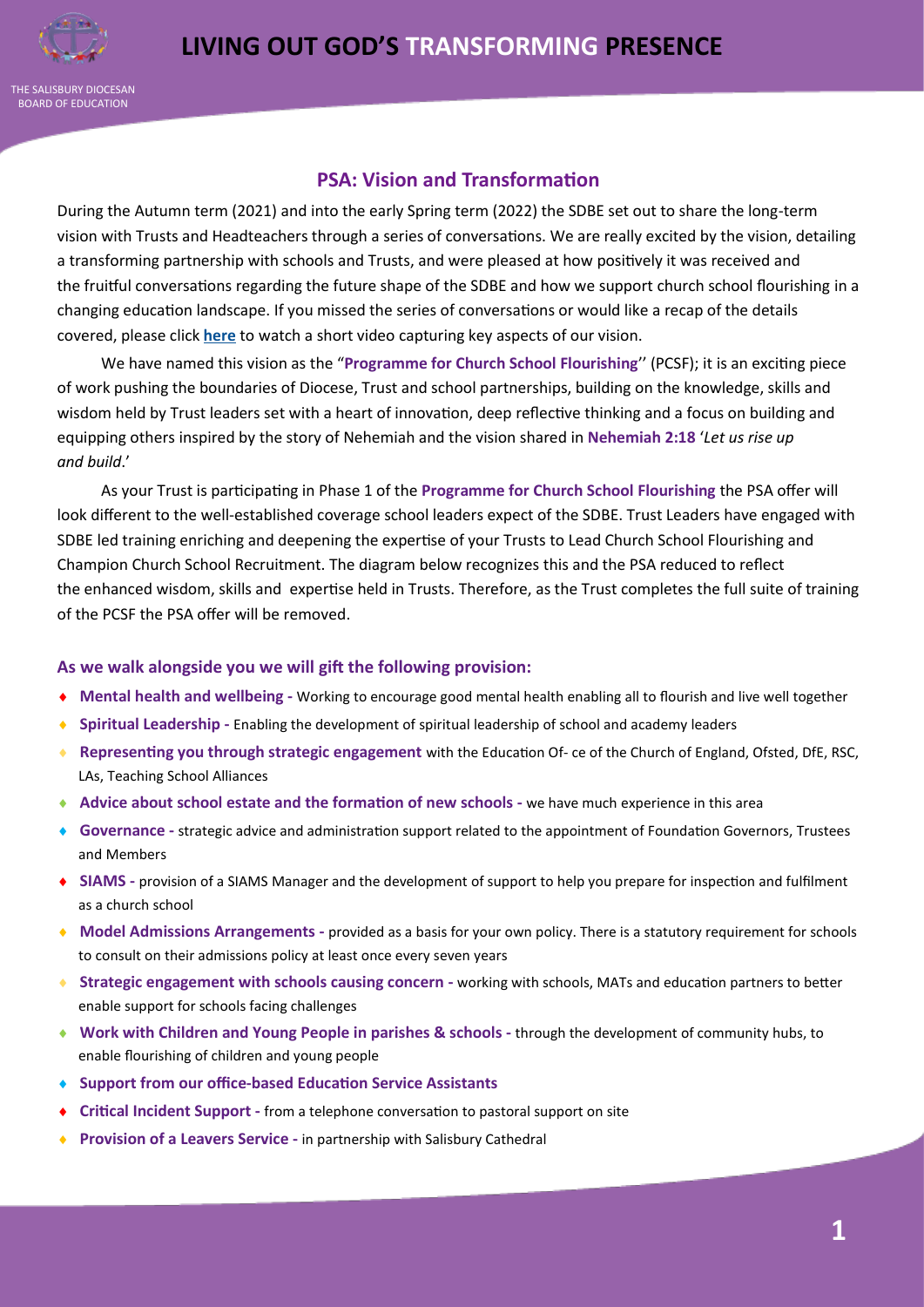

## **PSA: Vision and Transformation**

During the Autumn term (2021) and into the early Spring term (2022) the SDBE set out to share the long-term vision with Trusts and Headteachers through a series of conversations. We are really excited by the vision, detailing a transforming partnership with schools and Trusts, and were pleased at how positively it was received and the fruitful conversations regarding the future shape of the SDBE and how we support church school flourishing in a changing education landscape. If you missed the series of conversations or would like a recap of the details covered, please click **[here](https://youtu.be/kOtW-SHKZuE)** to watch a short video capturing key aspects of our vision.

We have named this vision as the "**Programme for Church School Flourishing**'' (PCSF); it is an exciting piece of work pushing the boundaries of Diocese, Trust and school partnerships, building on the knowledge, skills and wisdom held by Trust leaders set with a heart of innovation, deep reflective thinking and a focus on building and equipping others inspired by the story of Nehemiah and the vision shared in **Nehemiah 2:18** '*Let us rise up and build*.'

As your Trust is participating in Phase 1 of the **Programme for Church School Flourishing** the PSA offer will look different to the well-established coverage school leaders expect of the SDBE. Trust Leaders have engaged with SDBE led training enriching and deepening the expertise of your Trusts to Lead Church School Flourishing and Champion Church School Recruitment. The diagram below recognizes this and the PSA reduced to reflect the enhanced wisdom, skills and expertise held in Trusts. Therefore, as the Trust completes the full suite of training of the PCSF the PSA offer will be removed.

#### **As we walk alongside you we will gift the following provision:**

- **Mental health and wellbeing -** Working to encourage good mental health enabling all to flourish and live well together
- **Spiritual Leadership -** Enabling the development of spiritual leadership of school and academy leaders
- **Representing you through strategic engagement** with the Education Of- ce of the Church of England, Ofsted, DfE, RSC, LAs, Teaching School Alliances
- **Advice about school estate and the formation of new schools -** we have much experience in this area
- **Governance -** strategic advice and administration support related to the appointment of Foundation Governors, Trustees and Members
- **SIAMS -** provision of a SIAMS Manager and the development of support to help you prepare for inspection and fulfilment as a church school
- **Model Admissions Arrangements -** provided as a basis for your own policy. There is a statutory requirement for schools to consult on their admissions policy at least once every seven years
- **Strategic engagement with schools causing concern -** working with schools, MATs and education partners to better enable support for schools facing challenges
- **Work with Children and Young People in parishes & schools -** through the development of community hubs, to enable flourishing of children and young people
- **Support from our office-based Education Service Assistants**
- **Critical Incident Support -** from a telephone conversation to pastoral support on site
- ◆ **Provision of a Leavers Service** in partnership with Salisbury Cathedral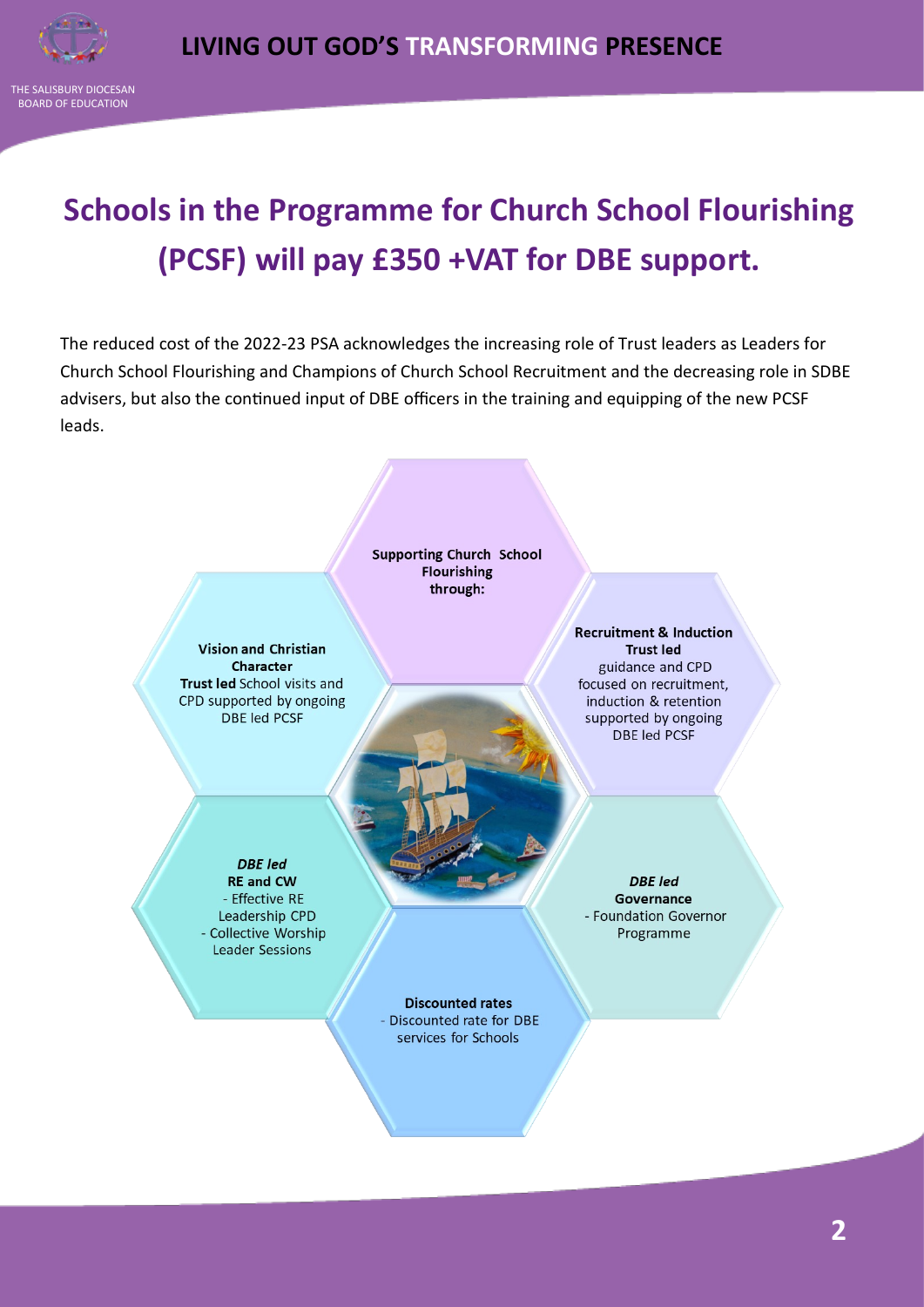

THE SALISBURY DIOCESAN BOARD OF EDUCATION

## **Schools in the Programme for Church School Flourishing (PCSF) will pay £350 +VAT for DBE support.**

The reduced cost of the 2022-23 PSA acknowledges the increasing role of Trust leaders as Leaders for Church School Flourishing and Champions of Church School Recruitment and the decreasing role in SDBE advisers, but also the continued input of DBE officers in the training and equipping of the new PCSF leads.